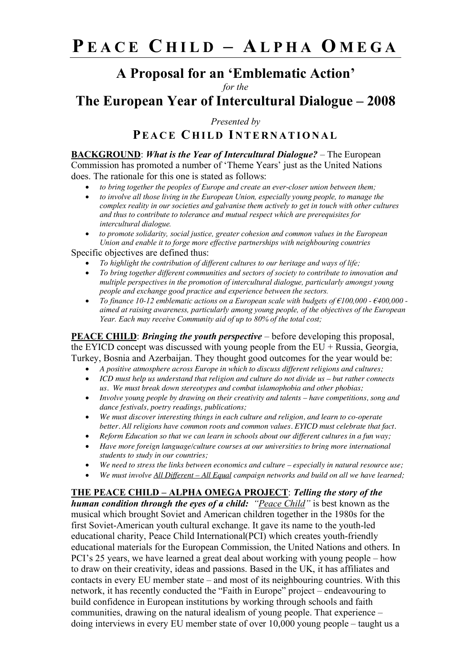## **A Proposal for an 'Emblematic Action'**

*for the*

**The European Year of Intercultural Dialogue – 2008**

*Presented by*

**PEACE C HILD I NTERNATIONAL**

**BACKGROUND**: *What is the Year of Intercultural Dialogue?* – The European Commission has promoted a number of 'Theme Years' just as the United Nations does. The rationale for this one is stated as follows:

- *to bring together the peoples of Europe and create an ever-closer union between them;*
- *to involve all those living in the European Union, especially young people, to manage the complex reality in our societies and galvanise them actively to get in touch with other cultures and thus to contribute to tolerance and mutual respect which are prerequisites for intercultural dialogue.*
- *to promote solidarity, social justice, greater cohesion and common values in the European Union and enable it to forge more effective partnerships with neighbouring countries*

Specific objectives are defined thus:

- *To highlight the contribution of different cultures to our heritage and ways of life;*
- *To bring together different communities and sectors of society to contribute to innovation and multiple perspectives in the promotion of intercultural dialogue, particularly amongst young people and exchange good practice and experience between the sectors.*
- *To finance 10-12 emblematic actions on a European scale with budgets of €100,000 - €400,000 aimed at raising awareness, particularly among young people, of the objectives of the European Year. Each may receive Community aid of up to 80% of the total cost;*

**PEACE CHILD**: *Bringing the youth perspective* – before developing this proposal, the EYICD concept was discussed with young people from the  $EU + Russia$ , Georgia, Turkey, Bosnia and Azerbaijan. They thought good outcomes for the year would be:

- *A positive atmosphere across Europe in which to discuss different religions and cultures;*
- *ICD must help us understand that religion and culture do not divide us – but rather connects us. We must break down stereotypes and combat islamophobia and other phobias;*
- *Involve young people by drawing on their creativity and talents – have competitions, song and dance festivals, poetry readings, publications;*
- *We must discover interesting things in each culture and religion, and learn to co-operate better. All religions have common roots and common values. EYICD must celebrate that fact.*
- *Reform Education so that we can learn in schools about our different cultures in a fun way;*
- *Have more foreign language/culture courses at our universities to bring more international students to study in our countries;*
- *We need to stress the links between economics and culture – especially in natural resource use;*
- *We must involve All Different – All Equal campaign networks and build on all we have learned;*

**THE PEACE CHILD – ALPHA OMEGA PROJECT**: *Telling the story of the human condition through the eyes of a child: "Peace Child"* is best known as the musical which brought Soviet and American children together in the 1980s for the first Soviet-American youth cultural exchange. It gave its name to the youth-led educational charity, Peace Child International(PCI) which creates youth-friendly educational materials for the European Commission, the United Nations and others. In PCI's 25 years, we have learned a great deal about working with young people – how to draw on their creativity, ideas and passions. Based in the UK, it has affiliates and contacts in every EU member state – and most of its neighbouring countries. With this network, it has recently conducted the "Faith in Europe" project – endeavouring to build confidence in European institutions by working through schools and faith communities, drawing on the natural idealism of young people. That experience – doing interviews in every EU member state of over 10,000 young people – taught us a